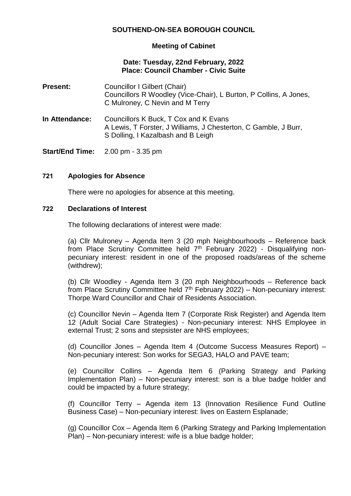# **SOUTHEND-ON-SEA BOROUGH COUNCIL**

## **Meeting of Cabinet**

### **Date: Tuesday, 22nd February, 2022 Place: Council Chamber - Civic Suite**

| <b>Present:</b> | Councillor I Gilbert (Chair)<br>Councillors R Woodley (Vice-Chair), L Burton, P Collins, A Jones,<br>C Mulroney, C Nevin and M Terry           |
|-----------------|------------------------------------------------------------------------------------------------------------------------------------------------|
| In Attendance:  | Councillors K Buck, T Cox and K Evans<br>A Lewis, T Forster, J Williams, J Chesterton, C Gamble, J Burr,<br>S Dolling, I Kazalbash and B Leigh |

**Start/End Time:** 2.00 pm - 3.35 pm

### **721 Apologies for Absence**

There were no apologies for absence at this meeting.

### **722 Declarations of Interest**

The following declarations of interest were made:

(a) Cllr Mulroney – Agenda Item 3 (20 mph Neighbourhoods – Reference back from Place Scrutiny Committee held 7<sup>th</sup> February 2022) - Disqualifying nonpecuniary interest: resident in one of the proposed roads/areas of the scheme (withdrew);

(b) Cllr Woodley - Agenda Item 3 (20 mph Neighbourhoods – Reference back from Place Scrutiny Committee held  $7<sup>th</sup>$  February 2022) – Non-pecuniary interest: Thorpe Ward Councillor and Chair of Residents Association.

(c) Councillor Nevin – Agenda Item 7 (Corporate Risk Register) and Agenda Item 12 (Adult Social Care Strategies) - Non-pecuniary interest: NHS Employee in external Trust; 2 sons and stepsister are NHS employees;

(d) Councillor Jones – Agenda Item 4 (Outcome Success Measures Report) – Non-pecuniary interest: Son works for SEGA3, HALO and PAVE team;

(e) Councillor Collins – Agenda Item 6 (Parking Strategy and Parking Implementation Plan) – Non-pecuniary interest: son is a blue badge holder and could be impacted by a future strategy;

(f) Councillor Terry – Agenda item 13 (Innovation Resilience Fund Outline Business Case) – Non-pecuniary interest: lives on Eastern Esplanade;

(g) Councillor Cox – Agenda Item 6 (Parking Strategy and Parking Implementation Plan) – Non-pecuniary interest: wife is a blue badge holder;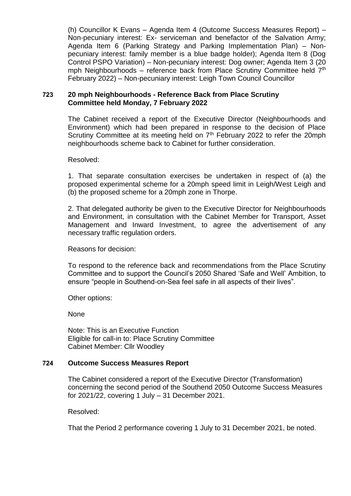(h) Councillor K Evans – Agenda Item 4 (Outcome Success Measures Report) – Non-pecuniary interest: Ex- serviceman and benefactor of the Salvation Army; Agenda Item 6 (Parking Strategy and Parking Implementation Plan) – Nonpecuniary interest: family member is a blue badge holder); Agenda Item 8 (Dog Control PSPO Variation) – Non-pecuniary interest: Dog owner; Agenda Item 3 (20 mph Neighbourhoods – reference back from Place Scrutiny Committee held  $7<sup>th</sup>$ February 2022) – Non-pecuniary interest: Leigh Town Council Councillor

### **723 20 mph Neighbourhoods - Reference Back from Place Scrutiny Committee held Monday, 7 February 2022**

The Cabinet received a report of the Executive Director (Neighbourhoods and Environment) which had been prepared in response to the decision of Place Scrutiny Committee at its meeting held on  $7<sup>th</sup>$  February 2022 to refer the 20mph neighbourhoods scheme back to Cabinet for further consideration.

### Resolved:

1. That separate consultation exercises be undertaken in respect of (a) the proposed experimental scheme for a 20mph speed limit in Leigh/West Leigh and (b) the proposed scheme for a 20mph zone in Thorpe.

2. That delegated authority be given to the Executive Director for Neighbourhoods and Environment, in consultation with the Cabinet Member for Transport, Asset Management and Inward Investment, to agree the advertisement of any necessary traffic regulation orders.

Reasons for decision:

To respond to the reference back and recommendations from the Place Scrutiny Committee and to support the Council's 2050 Shared 'Safe and Well' Ambition, to ensure "people in Southend-on-Sea feel safe in all aspects of their lives".

Other options:

None

Note: This is an Executive Function Eligible for call-in to: Place Scrutiny Committee Cabinet Member: Cllr Woodley

## **724 Outcome Success Measures Report**

The Cabinet considered a report of the Executive Director (Transformation) concerning the second period of the Southend 2050 Outcome Success Measures for 2021/22, covering 1 July – 31 December 2021.

Resolved:

That the Period 2 performance covering 1 July to 31 December 2021, be noted.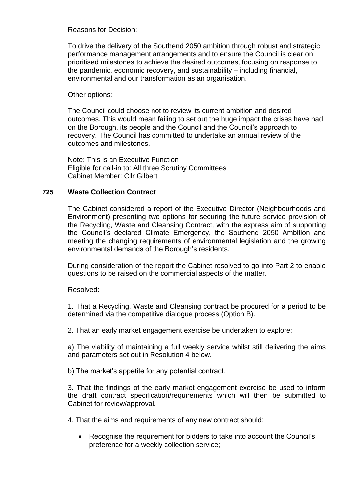Reasons for Decision:

To drive the delivery of the Southend 2050 ambition through robust and strategic performance management arrangements and to ensure the Council is clear on prioritised milestones to achieve the desired outcomes, focusing on response to the pandemic, economic recovery, and sustainability – including financial, environmental and our transformation as an organisation.

Other options:

The Council could choose not to review its current ambition and desired outcomes. This would mean failing to set out the huge impact the crises have had on the Borough, its people and the Council and the Council's approach to recovery. The Council has committed to undertake an annual review of the outcomes and milestones.

Note: This is an Executive Function Eligible for call-in to: All three Scrutiny Committees Cabinet Member: Cllr Gilbert

# **725 Waste Collection Contract**

The Cabinet considered a report of the Executive Director (Neighbourhoods and Environment) presenting two options for securing the future service provision of the Recycling, Waste and Cleansing Contract, with the express aim of supporting the Council's declared Climate Emergency, the Southend 2050 Ambition and meeting the changing requirements of environmental legislation and the growing environmental demands of the Borough's residents.

During consideration of the report the Cabinet resolved to go into Part 2 to enable questions to be raised on the commercial aspects of the matter.

Resolved:

1. That a Recycling, Waste and Cleansing contract be procured for a period to be determined via the competitive dialogue process (Option B).

2. That an early market engagement exercise be undertaken to explore:

a) The viability of maintaining a full weekly service whilst still delivering the aims and parameters set out in Resolution 4 below.

b) The market's appetite for any potential contract.

3. That the findings of the early market engagement exercise be used to inform the draft contract specification/requirements which will then be submitted to Cabinet for review/approval.

4. That the aims and requirements of any new contract should:

 Recognise the requirement for bidders to take into account the Council's preference for a weekly collection service;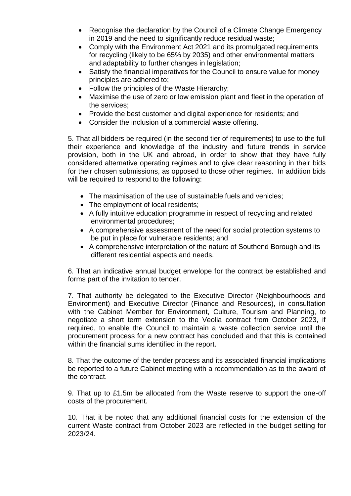- Recognise the declaration by the Council of a Climate Change Emergency in 2019 and the need to significantly reduce residual waste;
- Comply with the Environment Act 2021 and its promulgated requirements for recycling (likely to be 65% by 2035) and other environmental matters and adaptability to further changes in legislation;
- Satisfy the financial imperatives for the Council to ensure value for money principles are adhered to;
- Follow the principles of the Waste Hierarchy;
- Maximise the use of zero or low emission plant and fleet in the operation of the services;
- Provide the best customer and digital experience for residents; and
- Consider the inclusion of a commercial waste offering.

5. That all bidders be required (in the second tier of requirements) to use to the full their experience and knowledge of the industry and future trends in service provision, both in the UK and abroad, in order to show that they have fully considered alternative operating regimes and to give clear reasoning in their bids for their chosen submissions, as opposed to those other regimes. In addition bids will be required to respond to the following:

- The maximisation of the use of sustainable fuels and vehicles;
- The employment of local residents:
- A fully intuitive education programme in respect of recycling and related environmental procedures;
- A comprehensive assessment of the need for social protection systems to be put in place for vulnerable residents; and
- A comprehensive interpretation of the nature of Southend Borough and its different residential aspects and needs.

6. That an indicative annual budget envelope for the contract be established and forms part of the invitation to tender.

7. That authority be delegated to the Executive Director (Neighbourhoods and Environment) and Executive Director (Finance and Resources), in consultation with the Cabinet Member for Environment, Culture, Tourism and Planning, to negotiate a short term extension to the Veolia contract from October 2023, if required, to enable the Council to maintain a waste collection service until the procurement process for a new contract has concluded and that this is contained within the financial sums identified in the report.

8. That the outcome of the tender process and its associated financial implications be reported to a future Cabinet meeting with a recommendation as to the award of the contract.

9. That up to £1.5m be allocated from the Waste reserve to support the one-off costs of the procurement.

10. That it be noted that any additional financial costs for the extension of the current Waste contract from October 2023 are reflected in the budget setting for 2023/24.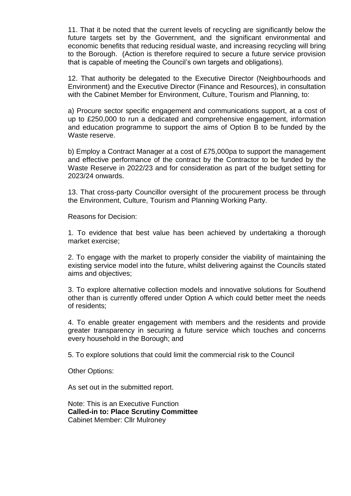11. That it be noted that the current levels of recycling are significantly below the future targets set by the Government, and the significant environmental and economic benefits that reducing residual waste, and increasing recycling will bring to the Borough. (Action is therefore required to secure a future service provision that is capable of meeting the Council's own targets and obligations).

12. That authority be delegated to the Executive Director (Neighbourhoods and Environment) and the Executive Director (Finance and Resources), in consultation with the Cabinet Member for Environment, Culture, Tourism and Planning, to:

a) Procure sector specific engagement and communications support, at a cost of up to £250,000 to run a dedicated and comprehensive engagement, information and education programme to support the aims of Option B to be funded by the Waste reserve.

b) Employ a Contract Manager at a cost of £75,000pa to support the management and effective performance of the contract by the Contractor to be funded by the Waste Reserve in 2022/23 and for consideration as part of the budget setting for 2023/24 onwards.

13. That cross-party Councillor oversight of the procurement process be through the Environment, Culture, Tourism and Planning Working Party.

Reasons for Decision:

1. To evidence that best value has been achieved by undertaking a thorough market exercise;

2. To engage with the market to properly consider the viability of maintaining the existing service model into the future, whilst delivering against the Councils stated aims and objectives;

3. To explore alternative collection models and innovative solutions for Southend other than is currently offered under Option A which could better meet the needs of residents;

4. To enable greater engagement with members and the residents and provide greater transparency in securing a future service which touches and concerns every household in the Borough; and

5. To explore solutions that could limit the commercial risk to the Council

Other Options:

As set out in the submitted report.

Note: This is an Executive Function **Called-in to: Place Scrutiny Committee** Cabinet Member: Cllr Mulroney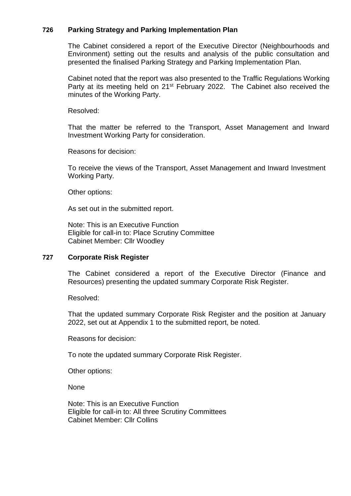## **726 Parking Strategy and Parking Implementation Plan**

The Cabinet considered a report of the Executive Director (Neighbourhoods and Environment) setting out the results and analysis of the public consultation and presented the finalised Parking Strategy and Parking Implementation Plan.

Cabinet noted that the report was also presented to the Traffic Regulations Working Party at its meeting held on 21<sup>st</sup> February 2022. The Cabinet also received the minutes of the Working Party.

Resolved:

That the matter be referred to the Transport, Asset Management and Inward Investment Working Party for consideration.

Reasons for decision:

To receive the views of the Transport, Asset Management and Inward Investment Working Party.

Other options:

As set out in the submitted report.

Note: This is an Executive Function Eligible for call-in to: Place Scrutiny Committee Cabinet Member: Cllr Woodley

#### **727 Corporate Risk Register**

The Cabinet considered a report of the Executive Director (Finance and Resources) presenting the updated summary Corporate Risk Register.

Resolved:

That the updated summary Corporate Risk Register and the position at January 2022, set out at Appendix 1 to the submitted report, be noted.

Reasons for decision:

To note the updated summary Corporate Risk Register.

Other options:

None

Note: This is an Executive Function Eligible for call-in to: All three Scrutiny Committees Cabinet Member: Cllr Collins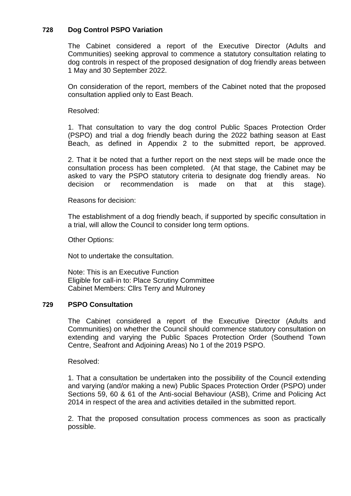# **728 Dog Control PSPO Variation**

The Cabinet considered a report of the Executive Director (Adults and Communities) seeking approval to commence a statutory consultation relating to dog controls in respect of the proposed designation of dog friendly areas between 1 May and 30 September 2022.

On consideration of the report, members of the Cabinet noted that the proposed consultation applied only to East Beach.

Resolved:

1. That consultation to vary the dog control Public Spaces Protection Order (PSPO) and trial a dog friendly beach during the 2022 bathing season at East Beach, as defined in Appendix 2 to the submitted report, be approved.

2. That it be noted that a further report on the next steps will be made once the consultation process has been completed. (At that stage, the Cabinet may be asked to vary the PSPO statutory criteria to designate dog friendly areas. No decision or recommendation is made on that at this stage).

Reasons for decision:

The establishment of a dog friendly beach, if supported by specific consultation in a trial, will allow the Council to consider long term options.

Other Options:

Not to undertake the consultation.

Note: This is an Executive Function Eligible for call-in to: Place Scrutiny Committee Cabinet Members: Cllrs Terry and Mulroney

## **729 PSPO Consultation**

The Cabinet considered a report of the Executive Director (Adults and Communities) on whether the Council should commence statutory consultation on extending and varying the Public Spaces Protection Order (Southend Town Centre, Seafront and Adjoining Areas) No 1 of the 2019 PSPO.

Resolved:

1. That a consultation be undertaken into the possibility of the Council extending and varying (and/or making a new) Public Spaces Protection Order (PSPO) under Sections 59, 60 & 61 of the Anti-social Behaviour (ASB), Crime and Policing Act 2014 in respect of the area and activities detailed in the submitted report.

2. That the proposed consultation process commences as soon as practically possible.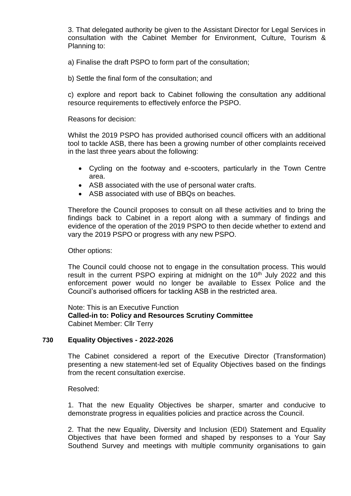3. That delegated authority be given to the Assistant Director for Legal Services in consultation with the Cabinet Member for Environment, Culture, Tourism & Planning to:

a) Finalise the draft PSPO to form part of the consultation;

b) Settle the final form of the consultation; and

c) explore and report back to Cabinet following the consultation any additional resource requirements to effectively enforce the PSPO.

Reasons for decision:

Whilst the 2019 PSPO has provided authorised council officers with an additional tool to tackle ASB, there has been a growing number of other complaints received in the last three years about the following:

- Cycling on the footway and e-scooters, particularly in the Town Centre area.
- ASB associated with the use of personal water crafts.
- ASB associated with use of BBQs on beaches.

Therefore the Council proposes to consult on all these activities and to bring the findings back to Cabinet in a report along with a summary of findings and evidence of the operation of the 2019 PSPO to then decide whether to extend and vary the 2019 PSPO or progress with any new PSPO.

Other options:

The Council could choose not to engage in the consultation process. This would result in the current PSPO expiring at midnight on the  $10<sup>th</sup>$  July 2022 and this enforcement power would no longer be available to Essex Police and the Council's authorised officers for tackling ASB in the restricted area.

Note: This is an Executive Function **Called-in to: Policy and Resources Scrutiny Committee** Cabinet Member: Cllr Terry

## **730 Equality Objectives - 2022-2026**

The Cabinet considered a report of the Executive Director (Transformation) presenting a new statement-led set of Equality Objectives based on the findings from the recent consultation exercise.

Resolved:

1. That the new Equality Objectives be sharper, smarter and conducive to demonstrate progress in equalities policies and practice across the Council.

2. That the new Equality, Diversity and Inclusion (EDI) Statement and Equality Objectives that have been formed and shaped by responses to a Your Say Southend Survey and meetings with multiple community organisations to gain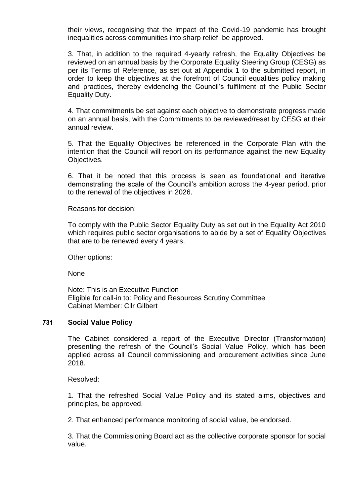their views, recognising that the impact of the Covid-19 pandemic has brought inequalities across communities into sharp relief, be approved.

3. That, in addition to the required 4-yearly refresh, the Equality Objectives be reviewed on an annual basis by the Corporate Equality Steering Group (CESG) as per its Terms of Reference, as set out at Appendix 1 to the submitted report, in order to keep the objectives at the forefront of Council equalities policy making and practices, thereby evidencing the Council's fulfilment of the Public Sector Equality Duty.

4. That commitments be set against each objective to demonstrate progress made on an annual basis, with the Commitments to be reviewed/reset by CESG at their annual review.

5. That the Equality Objectives be referenced in the Corporate Plan with the intention that the Council will report on its performance against the new Equality Objectives.

6. That it be noted that this process is seen as foundational and iterative demonstrating the scale of the Council's ambition across the 4-year period, prior to the renewal of the objectives in 2026.

Reasons for decision:

To comply with the Public Sector Equality Duty as set out in the Equality Act 2010 which requires public sector organisations to abide by a set of Equality Objectives that are to be renewed every 4 years.

Other options:

None

Note: This is an Executive Function Eligible for call-in to: Policy and Resources Scrutiny Committee Cabinet Member: Cllr Gilbert

#### **731 Social Value Policy**

The Cabinet considered a report of the Executive Director (Transformation) presenting the refresh of the Council's Social Value Policy, which has been applied across all Council commissioning and procurement activities since June 2018.

Resolved:

1. That the refreshed Social Value Policy and its stated aims, objectives and principles, be approved.

2. That enhanced performance monitoring of social value, be endorsed.

3. That the Commissioning Board act as the collective corporate sponsor for social value.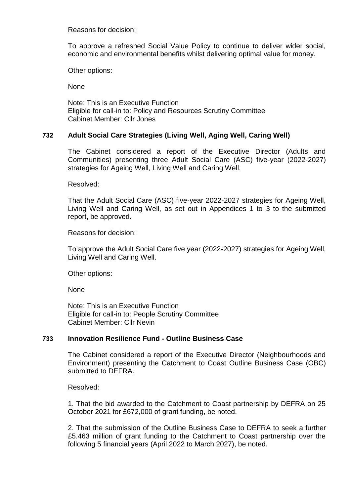Reasons for decision:

To approve a refreshed Social Value Policy to continue to deliver wider social, economic and environmental benefits whilst delivering optimal value for money.

Other options:

None

Note: This is an Executive Function Eligible for call-in to: Policy and Resources Scrutiny Committee Cabinet Member: Cllr Jones

## **732 Adult Social Care Strategies (Living Well, Aging Well, Caring Well)**

The Cabinet considered a report of the Executive Director (Adults and Communities) presenting three Adult Social Care (ASC) five-year (2022-2027) strategies for Ageing Well, Living Well and Caring Well.

Resolved:

That the Adult Social Care (ASC) five-year 2022-2027 strategies for Ageing Well, Living Well and Caring Well, as set out in Appendices 1 to 3 to the submitted report, be approved.

Reasons for decision:

To approve the Adult Social Care five year (2022-2027) strategies for Ageing Well, Living Well and Caring Well.

Other options:

None

Note: This is an Executive Function Eligible for call-in to: People Scrutiny Committee Cabinet Member: Cllr Nevin

# **733 Innovation Resilience Fund - Outline Business Case**

The Cabinet considered a report of the Executive Director (Neighbourhoods and Environment) presenting the Catchment to Coast Outline Business Case (OBC) submitted to DEFRA.

Resolved:

1. That the bid awarded to the Catchment to Coast partnership by DEFRA on 25 October 2021 for £672,000 of grant funding, be noted.

2. That the submission of the Outline Business Case to DEFRA to seek a further £5.463 million of grant funding to the Catchment to Coast partnership over the following 5 financial years (April 2022 to March 2027), be noted.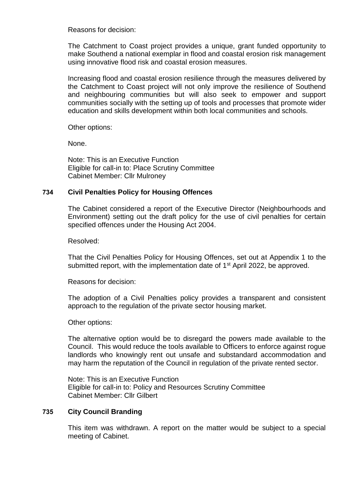Reasons for decision:

The Catchment to Coast project provides a unique, grant funded opportunity to make Southend a national exemplar in flood and coastal erosion risk management using innovative flood risk and coastal erosion measures.

Increasing flood and coastal erosion resilience through the measures delivered by the Catchment to Coast project will not only improve the resilience of Southend and neighbouring communities but will also seek to empower and support communities socially with the setting up of tools and processes that promote wider education and skills development within both local communities and schools.

Other options:

None.

Note: This is an Executive Function Eligible for call-in to: Place Scrutiny Committee Cabinet Member: Cllr Mulroney

## **734 Civil Penalties Policy for Housing Offences**

The Cabinet considered a report of the Executive Director (Neighbourhoods and Environment) setting out the draft policy for the use of civil penalties for certain specified offences under the Housing Act 2004.

Resolved:

That the Civil Penalties Policy for Housing Offences, set out at Appendix 1 to the submitted report, with the implementation date of 1<sup>st</sup> April 2022, be approved.

Reasons for decision:

The adoption of a Civil Penalties policy provides a transparent and consistent approach to the regulation of the private sector housing market.

Other options:

The alternative option would be to disregard the powers made available to the Council. This would reduce the tools available to Officers to enforce against rogue landlords who knowingly rent out unsafe and substandard accommodation and may harm the reputation of the Council in regulation of the private rented sector.

Note: This is an Executive Function Eligible for call-in to: Policy and Resources Scrutiny Committee Cabinet Member: Cllr Gilbert

## **735 City Council Branding**

This item was withdrawn. A report on the matter would be subject to a special meeting of Cabinet.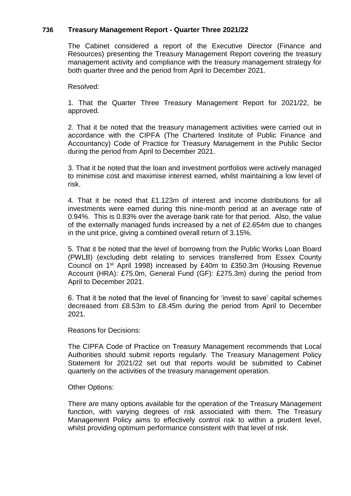# **736 Treasury Management Report - Quarter Three 2021/22**

The Cabinet considered a report of the Executive Director (Finance and Resources) presenting the Treasury Management Report covering the treasury management activity and compliance with the treasury management strategy for both quarter three and the period from April to December 2021.

Resolved:

1. That the Quarter Three Treasury Management Report for 2021/22, be approved.

2. That it be noted that the treasury management activities were carried out in accordance with the CIPFA (The Chartered Institute of Public Finance and Accountancy) Code of Practice for Treasury Management in the Public Sector during the period from April to December 2021.

3. That it be noted that the loan and investment portfolios were actively managed to minimise cost and maximise interest earned, whilst maintaining a low level of risk.

4. That it be noted that £1.123m of interest and income distributions for all investments were earned during this nine-month period at an average rate of 0.94%. This is 0.83% over the average bank rate for that period. Also, the value of the externally managed funds increased by a net of £2.654m due to changes in the unit price, giving a combined overall return of 3.15%.

5. That it be noted that the level of borrowing from the Public Works Loan Board (PWLB) (excluding debt relating to services transferred from Essex County Council on 1st April 1998) increased by £40m to £350.3m (Housing Revenue Account (HRA): £75.0m, General Fund (GF): £275.3m) during the period from April to December 2021.

6. That it be noted that the level of financing for 'invest to save' capital schemes decreased from £8.53m to £8.45m during the period from April to December 2021.

Reasons for Decisions:

The CIPFA Code of Practice on Treasury Management recommends that Local Authorities should submit reports regularly. The Treasury Management Policy Statement for 2021/22 set out that reports would be submitted to Cabinet quarterly on the activities of the treasury management operation.

Other Options:

There are many options available for the operation of the Treasury Management function, with varying degrees of risk associated with them. The Treasury Management Policy aims to effectively control risk to within a prudent level, whilst providing optimum performance consistent with that level of risk.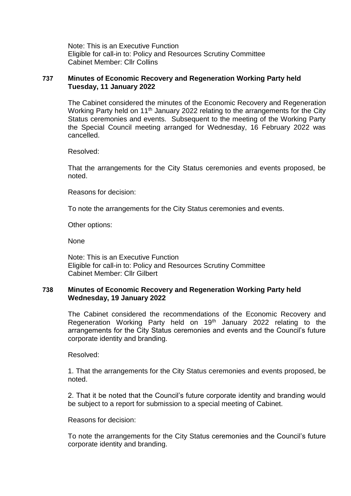Note: This is an Executive Function Eligible for call-in to: Policy and Resources Scrutiny Committee Cabinet Member: Cllr Collins

### **737 Minutes of Economic Recovery and Regeneration Working Party held Tuesday, 11 January 2022**

The Cabinet considered the minutes of the Economic Recovery and Regeneration Working Party held on 11<sup>th</sup> January 2022 relating to the arrangements for the City Status ceremonies and events. Subsequent to the meeting of the Working Party the Special Council meeting arranged for Wednesday, 16 February 2022 was cancelled.

Resolved:

That the arrangements for the City Status ceremonies and events proposed, be noted.

Reasons for decision:

To note the arrangements for the City Status ceremonies and events.

Other options:

None

Note: This is an Executive Function Eligible for call-in to: Policy and Resources Scrutiny Committee Cabinet Member: Cllr Gilbert

### **738 Minutes of Economic Recovery and Regeneration Working Party held Wednesday, 19 January 2022**

The Cabinet considered the recommendations of the Economic Recovery and Regeneration Working Party held on 19<sup>th</sup> January 2022 relating to the arrangements for the City Status ceremonies and events and the Council's future corporate identity and branding.

Resolved:

1. That the arrangements for the City Status ceremonies and events proposed, be noted.

2. That it be noted that the Council's future corporate identity and branding would be subject to a report for submission to a special meeting of Cabinet.

Reasons for decision:

To note the arrangements for the City Status ceremonies and the Council's future corporate identity and branding.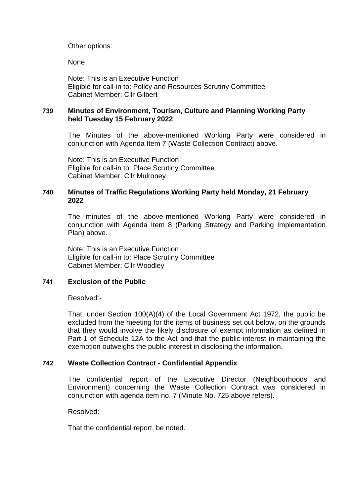Other options:

None

Note: This is an Executive Function Eligible for call-in to: Policy and Resources Scrutiny Committee Cabinet Member: Cllr Gilbert

# **739 Minutes of Environment, Tourism, Culture and Planning Working Party held Tuesday 15 February 2022**

The Minutes of the above-mentioned Working Party were considered in conjunction with Agenda Item 7 (Waste Collection Contract) above.

Note: This is an Executive Function Eligible for call-in to: Place Scrutiny Committee Cabinet Member: Cllr Mulroney

## **740 Minutes of Traffic Regulations Working Party held Monday, 21 February 2022**

The minutes of the above-mentioned Working Party were considered in conjunction with Agenda Item 8 (Parking Strategy and Parking Implementation Plan) above.

Note: This is an Executive Function Eligible for call-in to: Place Scrutiny Committee Cabinet Member: Cllr Woodley

## **741 Exclusion of the Public**

Resolved:-

That, under Section 100(A)(4) of the Local Government Act 1972, the public be excluded from the meeting for the items of business set out below, on the grounds that they would involve the likely disclosure of exempt information as defined in Part 1 of Schedule 12A to the Act and that the public interest in maintaining the exemption outweighs the public interest in disclosing the information.

## **742 Waste Collection Contract - Confidential Appendix**

The confidential report of the Executive Director (Neighbourhoods and Environment) concerning the Waste Collection Contract was considered in conjunction with agenda item no. 7 (Minute No. 725 above refers).

Resolved:

That the confidential report, be noted.